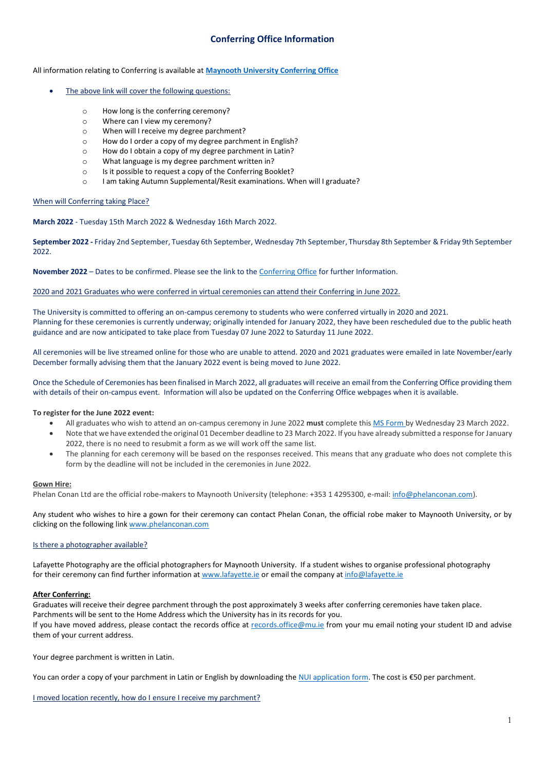# **Conferring Office Information**

All information relating to Conferring is available at **[Maynooth University Conferring Office](https://www.maynoothuniversity.ie/conferring/faqs)**

- The above link will cover the following questions:
	- o How long is the conferring ceremony?
	- o Where can I view my ceremony?
	- o When will I receive my degree parchment?
	- o How do I order a copy of my degree parchment in English?
	- o How do I obtain a copy of my degree parchment in Latin?
	- o What language is my degree parchment written in?
	- o Is it possible to request a copy of the Conferring Booklet?
	- o I am taking Autumn Supplemental/Resit examinations. When will I graduate?

#### When will Conferring taking Place?

**March 2022** - Tuesday 15th March 2022 & Wednesday 16th March 2022.

**September 2022 -** Friday 2nd September, Tuesday 6th September, Wednesday 7th September, Thursday 8th September & Friday 9th September 2022.

**November 2022** – Dates to be confirmed. Please see the link to th[e Conferring Office](https://www.maynoothuniversity.ie/conferring/schedule-ceremonies/october) for further Information.

2020 and 2021 Graduates who were conferred in virtual ceremonies can attend their Conferring in June 2022.

The University is committed to offering an on-campus ceremony to students who were conferred virtually in 2020 and 2021. Planning for these ceremonies is currently underway; originally intended for January 2022, they have been rescheduled due to the public heath guidance and are now anticipated to take place from Tuesday 07 June 2022 to Saturday 11 June 2022.

All ceremonies will be live streamed online for those who are unable to attend. 2020 and 2021 graduates were emailed in late November/early December formally advising them that the January 2022 event is being moved to June 2022.

Once the Schedule of Ceremonies has been finalised in March 2022, all graduates will receive an email from the Conferring Office providing them with details of their on-campus event. Information will also be updated on the Conferring Office webpages when it is available.

**To register for the June 2022 event:**

- All graduates who wish to attend an on-campus ceremony in June 2022 **must** complete this [MS Form b](http://forms.office.com/Pages/ResponsePage.aspx?id=zPVUFDW7hUa72YYh_YBVyXf6A45IBvRIokoVWlvYZGRUQ1BaREg4MlNSOFNCOTJRRlRQVlo4SFRDWiQlQCN0PWcu&wdLOR=c2E2E662D-62D8-4BA9-8B99-F4A8400E0D19)y Wednesday 23 March 2022.
- Note that we have extended the original 01 December deadline to 23 March 2022. If you have already submitted a response for January 2022, there is no need to resubmit a form as we will work off the same list.
- The planning for each ceremony will be based on the responses received. This means that any graduate who does not complete this form by the deadline will not be included in the ceremonies in June 2022.

#### **Gown Hire:**

Phelan Conan Ltd are the official robe-makers to Maynooth University (telephone: +353 1 4295300, e-mail: [info@phelanconan.com\)](http://info@phelanconan.com/).

Any student who wishes to hire a gown for their ceremony can contact Phelan Conan, the official robe maker to Maynooth University, or by clicking on the following lin[k www.phelanconan.com](http://www.phelanconan.com/)

## Is there a photographer available?

Lafayette Photography are the official photographers for Maynooth University. If a student wishes to organise professional photography for their ceremony can find further information at [www.lafayette.ie](http://www.lafayette.ie/) or email the company at [info@lafayette.ie](mailto:info@lafayette.ie)

## **After Conferring:**

Graduates will receive their degree parchment through the post approximately 3 weeks after conferring ceremonies have taken place. Parchments will be sent to the Home Address which the University has in its records for you. If you have moved address, please contact the records office at [records.office@mu.ie](mailto:records.office@mu.ie) from your mu email noting your student ID and advise them of your current address.

Your degree parchment is written in Latin.

You can order a copy of your parchment in Latin or English by downloading th[e NUI application form](http://www.nui.ie/services/document-services.asp). The cost is €50 per parchment.

I moved location recently, how do I ensure I receive my parchment?